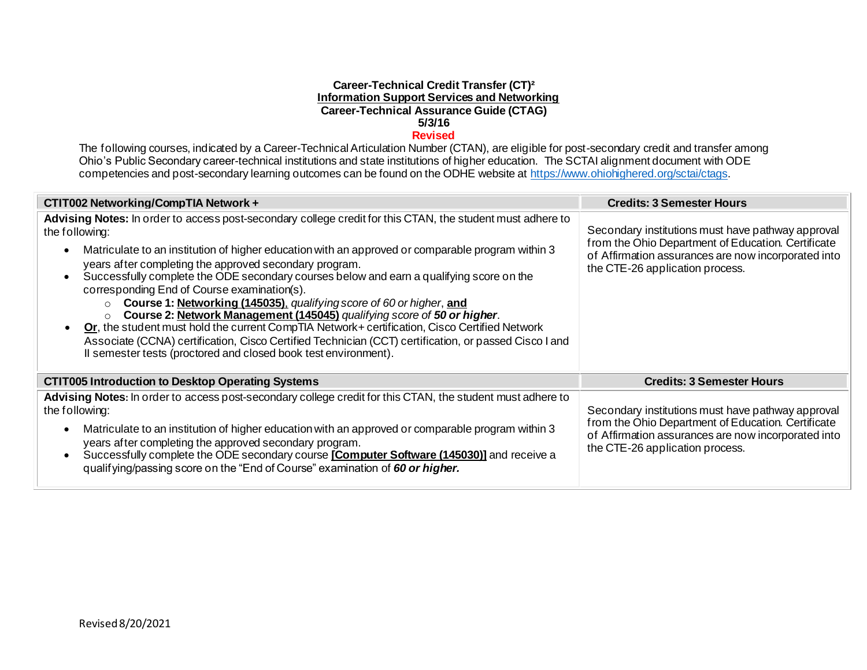#### **Career-Technical Credit Transfer (CT)² Information Support Services and Networking Career-Technical Assurance Guide (CTAG) 5/3/16 Revised**

The following courses, indicated by a Career-Technical Articulation Number (CTAN), are eligible for post-secondary credit and transfer among Ohio's Public Secondary career-technical institutions and state institutions of higher education. The SCTAI alignment document with ODE competencies and post-secondary learning outcomes can be found on the ODHE website a[t https://www.ohiohighered.org/sctai/ctags](https://www.ohiohighered.org/sctai/ctags).

| CTIT002 Networking/CompTIA Network +                                                                                                                                                                                                                                                                                                                                                                                                                                                                                                                                                                                                                                                                                                                                                                                                                                                                                          | <b>Credits: 3 Semester Hours</b>                                                                                                                                                                  |
|-------------------------------------------------------------------------------------------------------------------------------------------------------------------------------------------------------------------------------------------------------------------------------------------------------------------------------------------------------------------------------------------------------------------------------------------------------------------------------------------------------------------------------------------------------------------------------------------------------------------------------------------------------------------------------------------------------------------------------------------------------------------------------------------------------------------------------------------------------------------------------------------------------------------------------|---------------------------------------------------------------------------------------------------------------------------------------------------------------------------------------------------|
| Advising Notes: In order to access post-secondary college credit for this CTAN, the student must adhere to<br>the following:<br>Matriculate to an institution of higher education with an approved or comparable program within 3<br>$\bullet$<br>years after completing the approved secondary program.<br>Successfully complete the ODE secondary courses below and earn a qualifying score on the<br>$\bullet$<br>corresponding End of Course examination(s).<br><b>Course 1: Networking (145035), qualifying score of 60 or higher, and</b><br>$\circ$<br>Course 2: Network Management (145045) qualifying score of 50 or higher.<br>$\circ$<br>Or, the student must hold the current CompTIA Network+ certification, Cisco Certified Network<br>Associate (CCNA) certification, Cisco Certified Technician (CCT) certification, or passed Cisco I and<br>Il semester tests (proctored and closed book test environment). | Secondary institutions must have pathway approval<br>from the Ohio Department of Education. Certificate<br>of Affirmation assurances are now incorporated into<br>the CTE-26 application process. |
| <b>CTIT005 Introduction to Desktop Operating Systems</b>                                                                                                                                                                                                                                                                                                                                                                                                                                                                                                                                                                                                                                                                                                                                                                                                                                                                      | <b>Credits: 3 Semester Hours</b>                                                                                                                                                                  |
| Advising Notes: In order to access post-secondary college credit for this CTAN, the student must adhere to<br>the following:<br>Matriculate to an institution of higher education with an approved or comparable program within 3<br>$\bullet$<br>years after completing the approved secondary program.<br>Successfully complete the ODE secondary course [Computer Software (145030)] and receive a<br>$\bullet$<br>qualifying/passing score on the "End of Course" examination of 60 or higher.                                                                                                                                                                                                                                                                                                                                                                                                                            | Secondary institutions must have pathway approval<br>from the Ohio Department of Education. Certificate<br>of Affirmation assurances are now incorporated into<br>the CTE-26 application process. |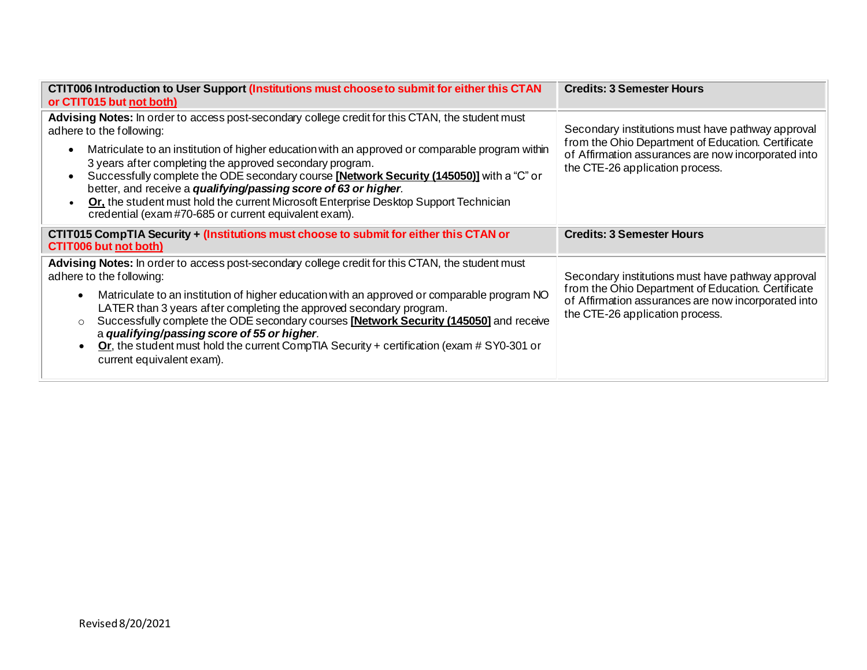| CTIT006 Introduction to User Support (Institutions must choose to submit for either this CTAN<br>or CTIT015 but not both)                                                                                                                                                                                                                                                                                                                                                                                                                                                                                                              | <b>Credits: 3 Semester Hours</b>                                                                                                                                                                  |
|----------------------------------------------------------------------------------------------------------------------------------------------------------------------------------------------------------------------------------------------------------------------------------------------------------------------------------------------------------------------------------------------------------------------------------------------------------------------------------------------------------------------------------------------------------------------------------------------------------------------------------------|---------------------------------------------------------------------------------------------------------------------------------------------------------------------------------------------------|
| Advising Notes: In order to access post-secondary college credit for this CTAN, the student must<br>adhere to the following:<br>Matriculate to an institution of higher education with an approved or comparable program within<br>$\bullet$<br>3 years after completing the approved secondary program.<br>Successfully complete the ODE secondary course [Network Security (145050)] with a "C" or<br>$\bullet$<br>better, and receive a qualifying/passing score of 63 or higher.<br>Or, the student must hold the current Microsoft Enterprise Desktop Support Technician<br>credential (exam #70-685 or current equivalent exam). | Secondary institutions must have pathway approval<br>from the Ohio Department of Education. Certificate<br>of Affirmation assurances are now incorporated into<br>the CTE-26 application process. |
| CTIT015 CompTIA Security + (Institutions must choose to submit for either this CTAN or<br><b>CTIT006 but not both)</b>                                                                                                                                                                                                                                                                                                                                                                                                                                                                                                                 | <b>Credits: 3 Semester Hours</b>                                                                                                                                                                  |
| Advising Notes: In order to access post-secondary college credit for this CTAN, the student must<br>adhere to the following:<br>Matriculate to an institution of higher education with an approved or comparable program NO<br>$\bullet$<br>LATER than 3 years after completing the approved secondary program.<br>Successfully complete the ODE secondary courses [Network Security (145050] and receive<br>$\circ$<br>a qualifying/passing score of 55 or higher.<br>Or, the student must hold the current CompTIA Security + certification (exam $#$ SY0-301 or<br>current equivalent exam).                                        | Secondary institutions must have pathway approval<br>from the Ohio Department of Education. Certificate<br>of Affirmation assurances are now incorporated into<br>the CTE-26 application process. |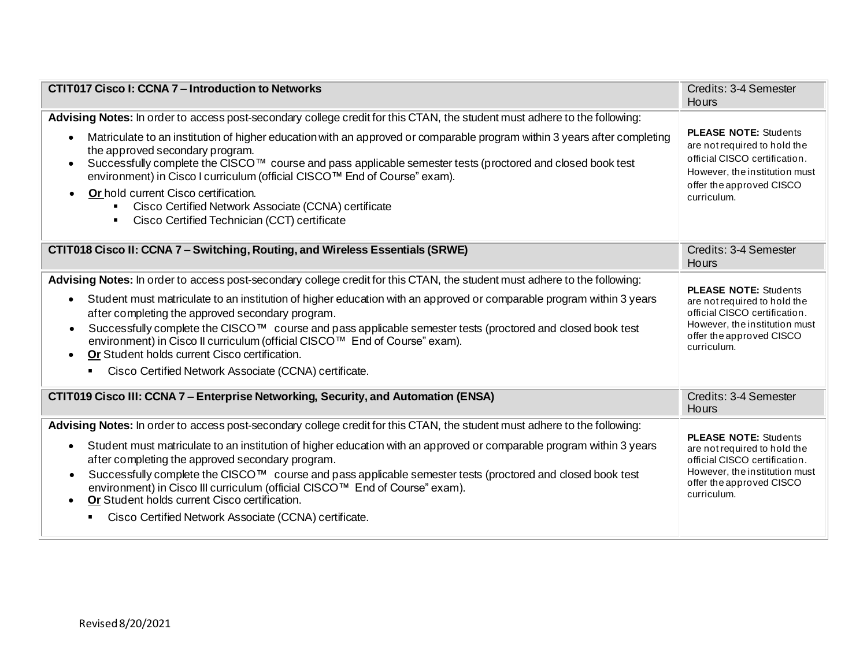| CTIT017 Cisco I: CCNA 7 – Introduction to Networks                                                                                                                                                                                                                                                                                                                                                                                                                                                                                                                                                                                                                   | Credits: 3-4 Semester<br>Hours                                                                                                                                            |
|----------------------------------------------------------------------------------------------------------------------------------------------------------------------------------------------------------------------------------------------------------------------------------------------------------------------------------------------------------------------------------------------------------------------------------------------------------------------------------------------------------------------------------------------------------------------------------------------------------------------------------------------------------------------|---------------------------------------------------------------------------------------------------------------------------------------------------------------------------|
| Advising Notes: In order to access post-secondary college credit for this CTAN, the student must adhere to the following:<br>Matriculate to an institution of higher education with an approved or comparable program within 3 years after completing<br>$\bullet$<br>the approved secondary program.<br>Successfully complete the CISCO™ course and pass applicable semester tests (proctored and closed book test<br>$\bullet$<br>environment) in Cisco I curriculum (official CISCO™ End of Course" exam).<br>Or hold current Cisco certification.<br>Cisco Certified Network Associate (CCNA) certificate<br>Cisco Certified Technician (CCT) certificate        | <b>PLEASE NOTE: Students</b><br>are not required to hold the<br>official CISCO certification.<br>However, the institution must<br>offer the approved CISCO<br>curriculum. |
| CTIT018 Cisco II: CCNA 7 - Switching, Routing, and Wireless Essentials (SRWE)                                                                                                                                                                                                                                                                                                                                                                                                                                                                                                                                                                                        | Credits: 3-4 Semester<br>Hours                                                                                                                                            |
| Advising Notes: In order to access post-secondary college credit for this CTAN, the student must adhere to the following:<br>Student must matriculate to an institution of higher education with an approved or comparable program within 3 years<br>$\bullet$<br>after completing the approved secondary program.<br>Successfully complete the CISCO™ course and pass applicable semester tests (proctored and closed book test<br>$\bullet$<br>environment) in Cisco II curriculum (official CISCO™ End of Course" exam).<br>Or Student holds current Cisco certification.<br>$\bullet$<br>Cisco Certified Network Associate (CCNA) certificate.<br>$\blacksquare$ | <b>PLEASE NOTE: Students</b><br>are not required to hold the<br>official CISCO certification.<br>However, the institution must<br>offer the approved CISCO<br>curriculum. |
| CTIT019 Cisco III: CCNA 7 – Enterprise Networking, Security, and Automation (ENSA)                                                                                                                                                                                                                                                                                                                                                                                                                                                                                                                                                                                   | Credits: 3-4 Semester<br>Hours                                                                                                                                            |
| Advising Notes: In order to access post-secondary college credit for this CTAN, the student must adhere to the following:<br>Student must matriculate to an institution of higher education with an approved or comparable program within 3 years<br>$\bullet$<br>after completing the approved secondary program.<br>Successfully complete the CISCO™ course and pass applicable semester tests (proctored and closed book test<br>environment) in Cisco III curriculum (official CISCO™ End of Course" exam).<br>Or Student holds current Cisco certification.<br>$\bullet$<br>Cisco Certified Network Associate (CCNA) certificate.                               | <b>PLEASE NOTE: Students</b><br>are not required to hold the<br>official CISCO certification.<br>However, the institution must<br>offer the approved CISCO<br>curriculum. |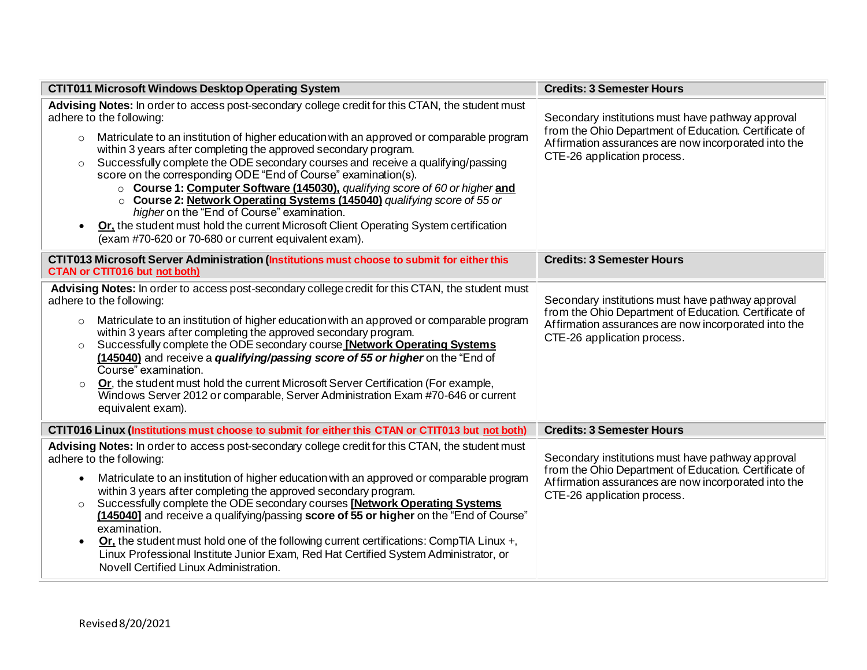| <b>CTIT011 Microsoft Windows Desktop Operating System</b>                                                                                                                                                                                                                                                                                                                                                                                                                                                                                                                                                                                                                                                                                                                                                                                       | <b>Credits: 3 Semester Hours</b>                                                                                                                                                                  |  |
|-------------------------------------------------------------------------------------------------------------------------------------------------------------------------------------------------------------------------------------------------------------------------------------------------------------------------------------------------------------------------------------------------------------------------------------------------------------------------------------------------------------------------------------------------------------------------------------------------------------------------------------------------------------------------------------------------------------------------------------------------------------------------------------------------------------------------------------------------|---------------------------------------------------------------------------------------------------------------------------------------------------------------------------------------------------|--|
| Advising Notes: In order to access post-secondary college credit for this CTAN, the student must<br>adhere to the following:<br>Matriculate to an institution of higher education with an approved or comparable program<br>$\circ$<br>within 3 years after completing the approved secondary program.<br>Successfully complete the ODE secondary courses and receive a qualifying/passing<br>$\circ$<br>score on the corresponding ODE "End of Course" examination(s).<br>o Course 1: Computer Software (145030), qualifying score of 60 or higher and<br>○ Course 2: Network Operating Systems (145040) qualifying score of 55 or<br>higher on the "End of Course" examination.<br>Or. the student must hold the current Microsoft Client Operating System certification<br>$\bullet$<br>(exam #70-620 or 70-680 or current equivalent exam). | Secondary institutions must have pathway approval<br>from the Ohio Department of Education. Certificate of<br>Affirmation assurances are now incorporated into the<br>CTE-26 application process. |  |
| CTIT013 Microsoft Server Administration (Institutions must choose to submit for either this<br><b>CTAN or CTIT016 but not both)</b>                                                                                                                                                                                                                                                                                                                                                                                                                                                                                                                                                                                                                                                                                                             | <b>Credits: 3 Semester Hours</b>                                                                                                                                                                  |  |
| Advising Notes: In order to access post-secondary college credit for this CTAN, the student must<br>adhere to the following:<br>Matriculate to an institution of higher education with an approved or comparable program<br>$\circ$<br>within 3 years after completing the approved secondary program.<br>Successfully complete the ODE secondary course <b>[Network Operating Systems</b> ]<br>$\circ$<br>(145040) and receive a <i>qualifying/passing score of 55 or higher</i> on the "End of<br>Course" examination.<br>Or, the student must hold the current Microsoft Server Certification (For example,<br>$\circ$<br>Windows Server 2012 or comparable, Server Administration Exam #70-646 or current<br>equivalent exam).                                                                                                              | Secondary institutions must have pathway approval<br>from the Ohio Department of Education. Certificate of<br>Affirmation assurances are now incorporated into the<br>CTE-26 application process. |  |
| CTIT016 Linux (Institutions must choose to submit for either this CTAN or CTIT013 but not both)                                                                                                                                                                                                                                                                                                                                                                                                                                                                                                                                                                                                                                                                                                                                                 | <b>Credits: 3 Semester Hours</b>                                                                                                                                                                  |  |
| Advising Notes: In order to access post-secondary college credit for this CTAN, the student must<br>adhere to the following:<br>Matriculate to an institution of higher education with an approved or comparable program<br>$\bullet$<br>within 3 years after completing the approved secondary program.<br>Successfully complete the ODE secondary courses [Network Operating Systems]<br>$\circ$<br>(145040] and receive a qualifying/passing score of 55 or higher on the "End of Course"<br>examination.<br>Or, the student must hold one of the following current certifications: CompTIA Linux +,<br>$\bullet$<br>Linux Professional Institute Junior Exam, Red Hat Certified System Administrator, or<br>Novell Certified Linux Administration.                                                                                          | Secondary institutions must have pathway approval<br>from the Ohio Department of Education. Certificate of<br>Affirmation assurances are now incorporated into the<br>CTE-26 application process. |  |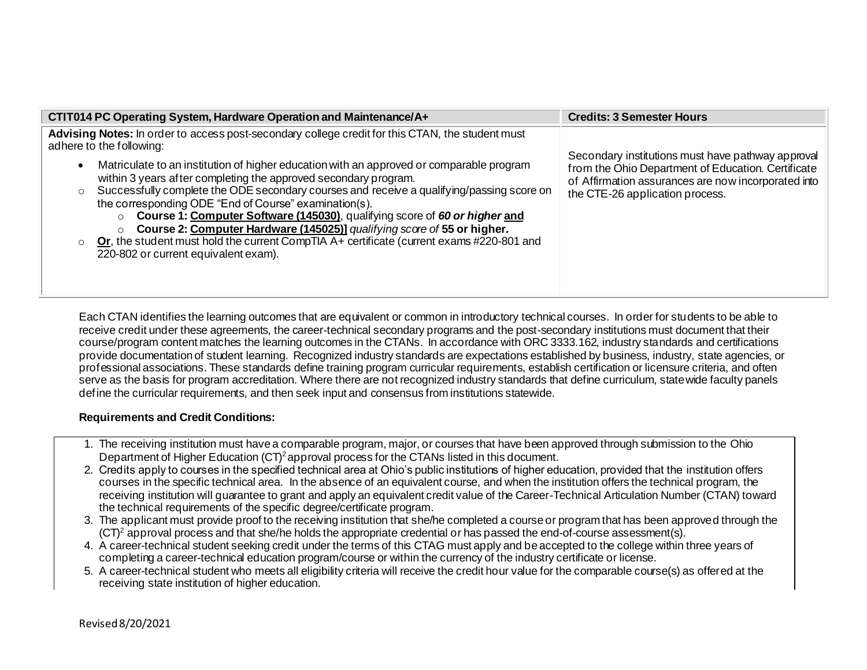| CTIT014 PC Operating System, Hardware Operation and Maintenance/A+                                                                                                                                                                                                                                                                                                                                                                                                                                                                                                                                                                                                                                                                                                                 | <b>Credits: 3 Semester Hours</b>                                                                                                                                                                  |
|------------------------------------------------------------------------------------------------------------------------------------------------------------------------------------------------------------------------------------------------------------------------------------------------------------------------------------------------------------------------------------------------------------------------------------------------------------------------------------------------------------------------------------------------------------------------------------------------------------------------------------------------------------------------------------------------------------------------------------------------------------------------------------|---------------------------------------------------------------------------------------------------------------------------------------------------------------------------------------------------|
| Advising Notes: In order to access post-secondary college credit for this CTAN, the student must<br>adhere to the following:<br>Matriculate to an institution of higher education with an approved or comparable program<br>within 3 years after completing the approved secondary program.<br>Successfully complete the ODE secondary courses and receive a qualifying/passing score on<br>$\circ$<br>the corresponding ODE "End of Course" examination(s).<br>Course 1: Computer Software (145030), qualifying score of 60 or higher and<br>$\circ$<br>Course 2: Computer Hardware (145025)] qualifying score of 55 or higher.<br>Or, the student must hold the current CompTIA A+ certificate (current exams $\#220-801$ and<br>$\circ$<br>220-802 or current equivalent exam). | Secondary institutions must have pathway approval<br>from the Ohio Department of Education. Certificate<br>of Affirmation assurances are now incorporated into<br>the CTE-26 application process. |

Each CTAN identifies the learning outcomes that are equivalent or common in introductory technical courses. In order for students to be able to receive credit under these agreements, the career-technical secondary programs and the post-secondary institutions must document that their course/program content matches the learning outcomes in the CTANs. In accordance with ORC 3333.162, industry standards and certifications provide documentation of student learning. Recognized industry standards are expectations established by business, industry, state agencies, or professional associations. These standards define training program curricular requirements, establish certification or licensure criteria, and often serve as the basis for program accreditation. Where there are not recognized industry standards that define curriculum, statewide faculty panels define the curricular requirements, and then seek input and consensus from institutions statewide.

# **Requirements and Credit Conditions:**

- 1. The receiving institution must have a comparable program, major, or courses that have been approved through submission to the Ohio Department of Higher Education  $(CT)^2$  approval process for the CTANs listed in this document.
- 2. Credits apply to courses in the specified technical area at Ohio's public institutions of higher education, provided that the institution offers courses in the specific technical area. In the absence of an equivalent course, and when the institution offers the technical program, the receiving institution will guarantee to grant and apply an equivalent credit value of the Career-Technical Articulation Number (CTAN) toward the technical requirements of the specific degree/certificate program.
- 3. The applicant must provide proof to the receiving institution that she/he completed a course or program that has been approved through the  $(CT)^2$  approval process and that she/he holds the appropriate credential or has passed the end-of-course assessment(s).
- 4. A career-technical student seeking credit under the terms of this CTAG must apply and be accepted to the college within three years of completing a career-technical education program/course or within the currency of the industry certificate or license.
- 5. A career-technical student who meets all eligibility criteria will receive the credit hour value for the comparable course(s) as offered at the receiving state institution of higher education.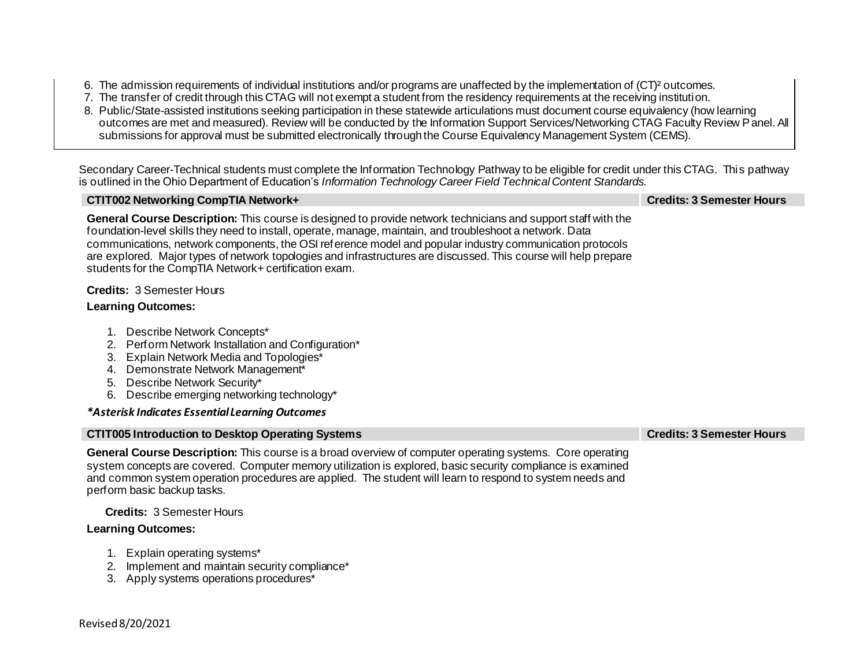- 6. The admission requirements of individual institutions and/or programs are unaffected by the implementation of (CT)² outcomes.
- 7. The transfer of credit through this CTAG will not exempt a student from the residency requirements at the receiving institution.
- 8. Public/State-assisted institutions seeking participation in these statewide articulations must document course equivalency (how learning outcomes are met and measured). Review will be conducted by the Information Support Services/Networking CTAG Faculty Review Panel. All submissions for approval must be submitted electronically through the Course Equivalency Management System (CEMS).

Secondary Career-Technical students must complete the Information Technology Pathway to be eligible for credit under this CTAG. This pathway is outlined in the Ohio Department of Education's *Information Technology Career Field Technical Content Standards.*

| CTIT002 Networking CompTIA Network+                                                                                                                                                                                                                                                                                                                                                                                                                                                                                 | <b>Credits: 3 Semester Hours</b> |
|---------------------------------------------------------------------------------------------------------------------------------------------------------------------------------------------------------------------------------------------------------------------------------------------------------------------------------------------------------------------------------------------------------------------------------------------------------------------------------------------------------------------|----------------------------------|
| General Course Description: This course is designed to provide network technicians and support staff with the<br>foundation-level skills they need to install, operate, manage, maintain, and troubleshoot a network. Data<br>communications, network components, the OSI reference model and popular industry communication protocols<br>are explored. Major types of network topologies and infrastructures are discussed. This course will help prepare<br>students for the CompTIA Network+ certification exam. |                                  |
| <b>Credits: 3 Semester Hours</b><br><b>Learning Outcomes:</b>                                                                                                                                                                                                                                                                                                                                                                                                                                                       |                                  |
| Describe Network Concepts*<br>Perform Network Installation and Configuration*<br>Explain Network Media and Topologies*<br>3.<br>Demonstrate Network Management*<br>4.<br>Describe Network Security*<br>5.<br>Describe emerging networking technology*<br>6.                                                                                                                                                                                                                                                         |                                  |
| *Asterisk Indicates Essential Learning Outcomes                                                                                                                                                                                                                                                                                                                                                                                                                                                                     |                                  |

| <b>CTIT005 Introduction to Desktop Operating Systems</b> |
|----------------------------------------------------------|
|----------------------------------------------------------|

**General Course Description:** This course is a broad overview of computer operating systems. Core operating system concepts are covered. Computer memory utilization is explored, basic security compliance is examined and common system operation procedures are applied. The student will learn to respond to system needs and perform basic backup tasks.

# **Credits:** 3 Semester Hours

- 1. Explain operating systems\*
- 2. Implement and maintain security compliance\*
- 3. Apply systems operations procedures\*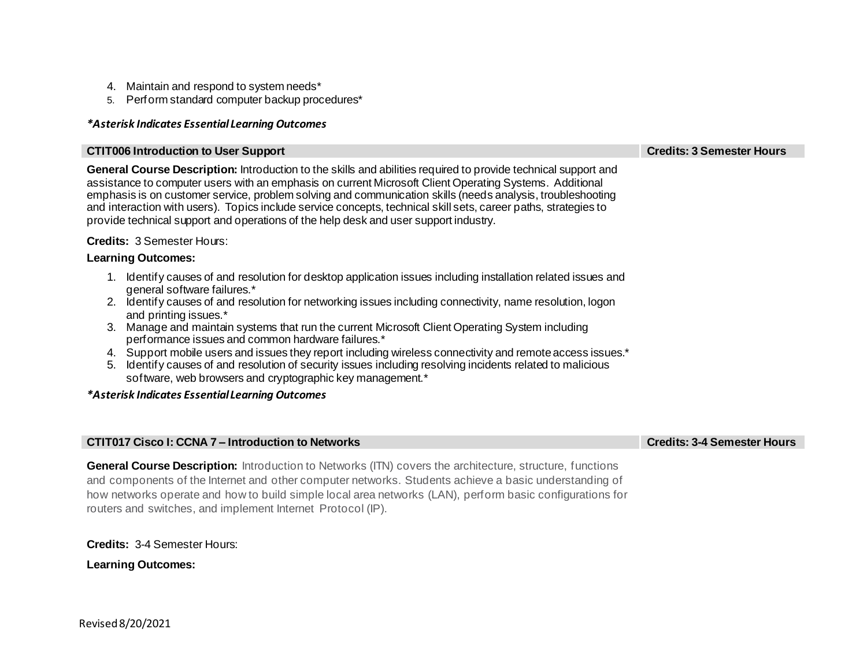- 4. Maintain and respond to system needs\*
- 5. Perform standard computer backup procedures\*

#### **CTIT006 Introduction to User Support Credits: 3 Semester Hours**

**General Course Description:** Introduction to the skills and abilities required to provide technical support and assistance to computer users with an emphasis on current Microsoft Client Operating Systems. Additional emphasis is on customer service, problem solving and communication skills (needs analysis, troubleshooting and interaction with users). Topics include service concepts, technical skill sets, career paths, strategies to provide technical support and operations of the help desk and user support industry.

# **Credits:** 3 Semester Hours:

## **Learning Outcomes:**

- 1. Identify causes of and resolution for desktop application issues including installation related issues and general software failures.\*
- 2. Identify causes of and resolution for networking issues including connectivity, name resolution, logon and printing issues.\*
- 3. Manage and maintain systems that run the current Microsoft Client Operating System including performance issues and common hardware failures.\*
- 4. Support mobile users and issues they report including wireless connectivity and remote access issues.\*
- 5. Identify causes of and resolution of security issues including resolving incidents related to malicious software, web browsers and cryptographic key management.\*

## *\*Asterisk Indicates Essential Learning Outcomes*

## **CTIT017 Cisco I: CCNA 7 – Introduction to Networks Credits: 3-4 Semester Hours**

**General Course Description:** Introduction to Networks (ITN) covers the architecture, structure, functions and components of the Internet and other computer networks. Students achieve a basic understanding of how networks operate and how to build simple local area networks (LAN), perform basic configurations for routers and switches, and implement Internet Protocol (IP).

**Credits:** 3-4 Semester Hours: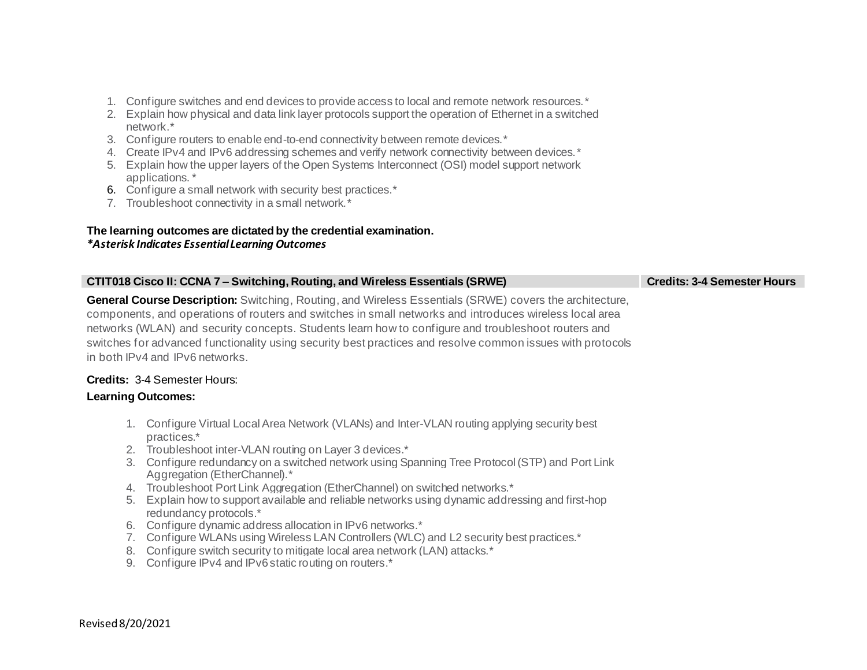- 1. Configure switches and end devices to provide access to local and remote network resources.\*
- 2. Explain how physical and data link layer protocols support the operation of Ethernet in a switched network.\*
- 3. Configure routers to enable end-to-end connectivity between remote devices.\*
- 4. Create IPv4 and IPv6 addressing schemes and verify network connectivity between devices. \*
- 5. Explain how the upper layers of the Open Systems Interconnect (OSI) model support network applications. \*
- 6. Configure a small network with security best practices.\*
- 7. Troubleshoot connectivity in a small network.\*

## **The learning outcomes are dictated by the credential examination.** *\*Asterisk Indicates Essential Learning Outcomes*

| CTIT018 Cisco II: CCNA 7 – Switching, Routing, and Wireless Essentials (SRWE)                                                                                                                                                                                                                                                                                                                                                                                                     | <b>Credits: 3-4 Semester Hours</b> |
|-----------------------------------------------------------------------------------------------------------------------------------------------------------------------------------------------------------------------------------------------------------------------------------------------------------------------------------------------------------------------------------------------------------------------------------------------------------------------------------|------------------------------------|
| <b>General Course Description:</b> Switching, Routing, and Wireless Essentials (SRWE) covers the architecture,<br>components, and operations of routers and switches in small networks and introduces wireless local area<br>networks (WLAN) and security concepts. Students learn how to configure and troubleshoot routers and<br>switches for advanced functionality using security best practices and resolve common issues with protocols<br>in both IPv4 and IPv6 networks. |                                    |
|                                                                                                                                                                                                                                                                                                                                                                                                                                                                                   |                                    |

# **Credits:** 3-4 Semester Hours:

- 1. Configure Virtual Local Area Network (VLANs) and Inter-VLAN routing applying security best practices.\*
- 2. Troubleshoot inter-VLAN routing on Layer 3 devices.\*
- 3. Configure redundancy on a switched network using Spanning Tree Protocol (STP) and Port Link Aggregation (EtherChannel).\*
- 4. Troubleshoot Port Link Aggregation (EtherChannel) on switched networks.\*
- 5. Explain how to support available and reliable networks using dynamic addressing and first-hop redundancy protocols.\*
- 6. Configure dynamic address allocation in IPv6 networks.\*
- 7. Configure WLANs using Wireless LAN Controllers (WLC) and L2 security best practices.\*
- 8. Configure switch security to mitigate local area network (LAN) attacks.\*
- 9. Configure IPv4 and IPv6 static routing on routers.<sup>\*</sup>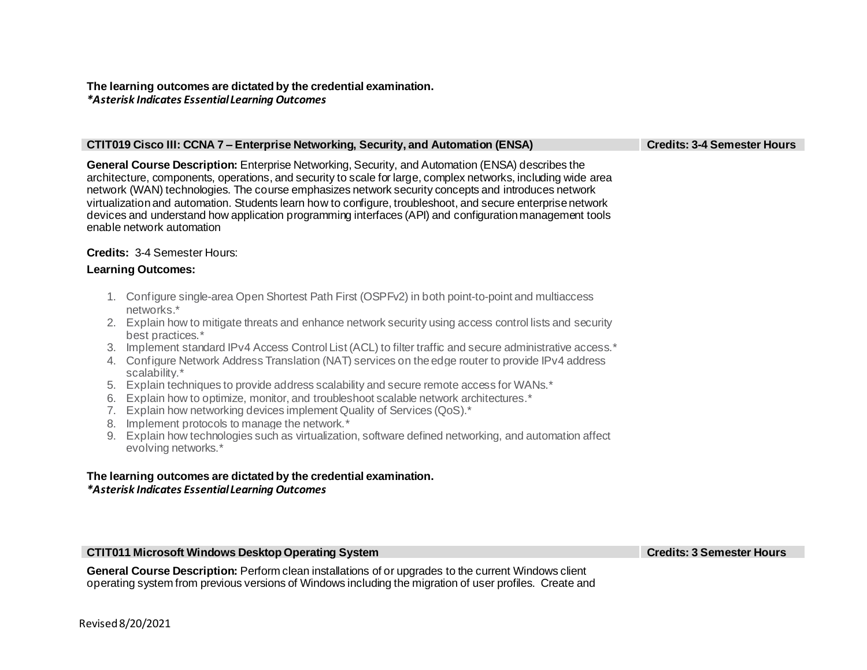# **The learning outcomes are dictated by the credential examination.**  *\*Asterisk Indicates Essential Learning Outcomes*

#### **CTIT019 Cisco III: CCNA 7 – Enterprise Networking, Security, and Automation (ENSA) Credits: 3-4 Semester Hours**

**General Course Description:** Enterprise Networking, Security, and Automation (ENSA) describes the architecture, components, operations, and security to scale for large, complex networks, including wide area network (WAN) technologies. The course emphasizes network security concepts and introduces network virtualization and automation. Students learn how to configure, troubleshoot, and secure enterprise network devices and understand how application programming interfaces (API) and configuration management tools enable network automation

## **Credits:** 3-4 Semester Hours:

#### **Learning Outcomes:**

- 1. Configure single-area Open Shortest Path First (OSPFv2) in both point-to-point and multiaccess networks.\*
- 2. Explain how to mitigate threats and enhance network security using access control lists and security best practices.\*
- 3. Implement standard IPv4 Access Control List (ACL) to filter traffic and secure administrative access.\*
- 4. Configure Network Address Translation (NAT) services on the edge router to provide IPv4 address scalability.\*
- 5. Explain techniques to provide address scalability and secure remote access for WANs.\*
- 6. Explain how to optimize, monitor, and troubleshoot scalable network architectures.\*
- 7. Explain how networking devices implement Quality of Services (QoS).\*
- 8. Implement protocols to manage the network.\*
- 9. Explain how technologies such as virtualization, software defined networking, and automation affect evolving networks.\*

## **The learning outcomes are dictated by the credential examination.**  *\*Asterisk Indicates Essential Learning Outcomes*

#### **CTIT011 Microsoft Windows Desktop Operating System Credits: 3 Semester Hours**

**General Course Description:** Perform clean installations of or upgrades to the current Windows client operating system from previous versions of Windows including the migration of user profiles. Create and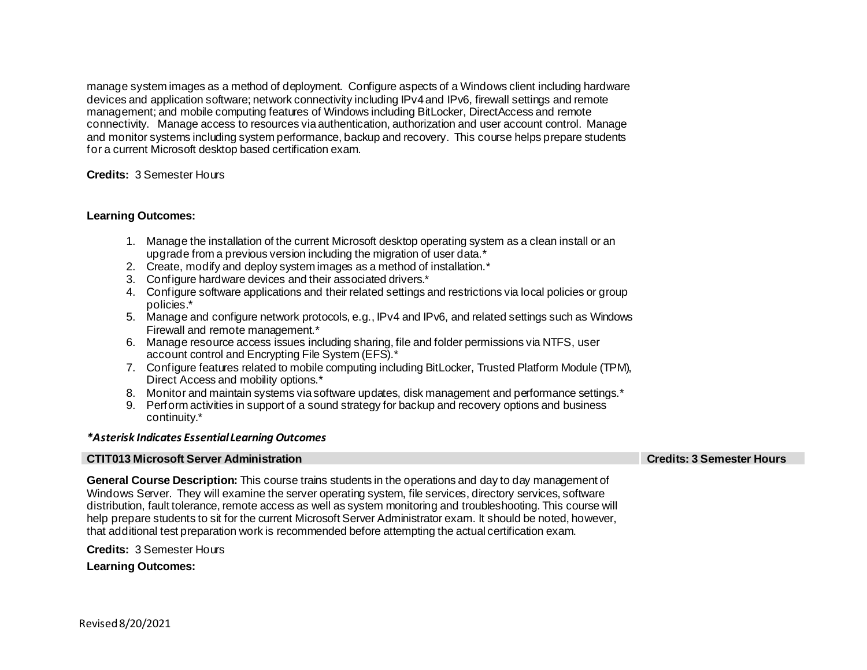manage system images as a method of deployment. Configure aspects of a Windows client including hardware devices and application software; network connectivity including IPv4 and IPv6, firewall settings and remote management; and mobile computing features of Windows including BitLocker, DirectAccess and remote connectivity. Manage access to resources via authentication, authorization and user account control. Manage and monitor systems including system performance, backup and recovery. This course helps prepare students for a current Microsoft desktop based certification exam.

#### **Credits:** 3 Semester Hours

#### **Learning Outcomes:**

- 1. Manage the installation of the current Microsoft desktop operating system as a clean install or an upgrade from a previous version including the migration of user data.\*
- 2. Create, modify and deploy system images as a method of installation.\*
- 3. Configure hardware devices and their associated drivers.\*
- 4. Configure software applications and their related settings and restrictions via local policies or group policies.\*
- 5. Manage and configure network protocols, e.g., IPv4 and IPv6, and related settings such as Windows Firewall and remote management.\*
- 6. Manage resource access issues including sharing, file and folder permissions via NTFS, user account control and Encrypting File System (EFS).\*
- 7. Configure features related to mobile computing including BitLocker, Trusted Platform Module (TPM), Direct Access and mobility options.\*
- 8. Monitor and maintain systems via software updates, disk management and performance settings.\*
- 9. Perform activities in support of a sound strategy for backup and recovery options and business continuity.\*

#### *\*Asterisk Indicates Essential Learning Outcomes*

#### **CTIT013 Microsoft Server Administration Credits: 3 Semester Hours**

**General Course Description:** This course trains students in the operations and day to day management of Windows Server. They will examine the server operating system, file services, directory services, software distribution, fault tolerance, remote access as well as system monitoring and troubleshooting. This course will help prepare students to sit for the current Microsoft Server Administrator exam. It should be noted, however, that additional test preparation work is recommended before attempting the actual certification exam. 

**Credits:** 3 Semester Hours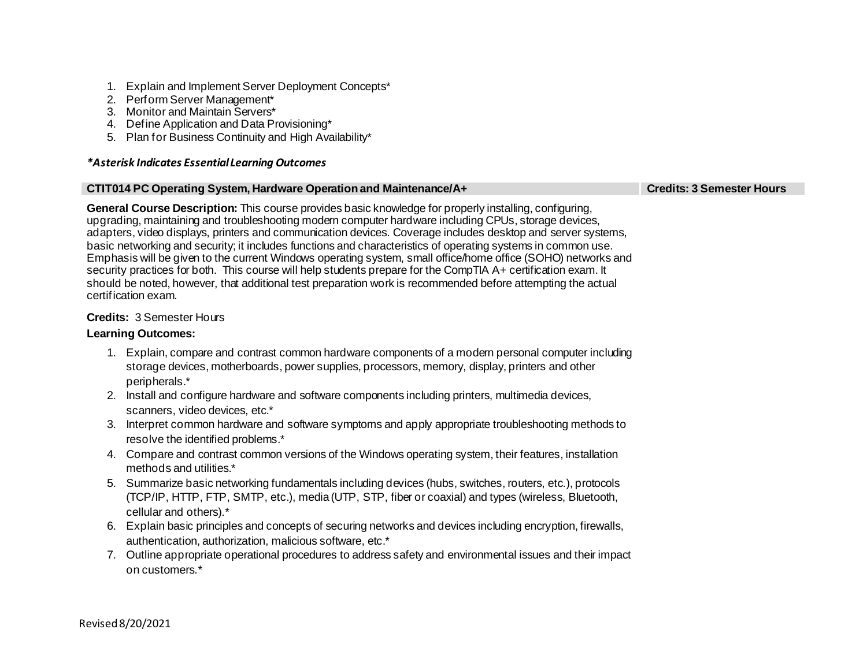- 1. Explain and Implement Server Deployment Concepts\*
- 2. Perform Server Management\*
- 3. Monitor and Maintain Servers\*
- 4. Define Application and Data Provisioning\*
- 5. Plan for Business Continuity and High Availability\*

## **CTIT014 PC Operating System, Hardware Operation and Maintenance/A+ Credits: 3 Semester Hours**

**General Course Description:** This course provides basic knowledge for properly installing, configuring, upgrading, maintaining and troubleshooting modern computer hardware including CPUs, storage devices, adapters, video displays, printers and communication devices. Coverage includes desktop and server systems, basic networking and security; it includes functions and characteristics of operating systems in common use. Emphasis will be given to the current Windows operating system, small office/home office (SOHO) networks and security practices for both. This course will help students prepare for the CompTIA A+ certification exam. It should be noted, however, that additional test preparation work is recommended before attempting the actual certification exam.

# **Credits:** 3 Semester Hours

- 1. Explain, compare and contrast common hardware components of a modern personal computer including storage devices, motherboards, power supplies, processors, memory, display, printers and other peripherals.\*
- 2. Install and configure hardware and software components including printers, multimedia devices, scanners, video devices, etc.\*
- 3. Interpret common hardware and software symptoms and apply appropriate troubleshooting methods to resolve the identified problems.\*
- 4. Compare and contrast common versions of the Windows operating system, their features, installation methods and utilities.\*
- 5. Summarize basic networking fundamentals including devices (hubs, switches, routers, etc.), protocols (TCP/IP, HTTP, FTP, SMTP, etc.), media (UTP, STP, fiber or coaxial) and types (wireless, Bluetooth, cellular and others).\*
- 6. Explain basic principles and concepts of securing networks and devices including encryption, firewalls, authentication, authorization, malicious software, etc.\*
- 7. Outline appropriate operational procedures to address safety and environmental issues and their impact on customers.\*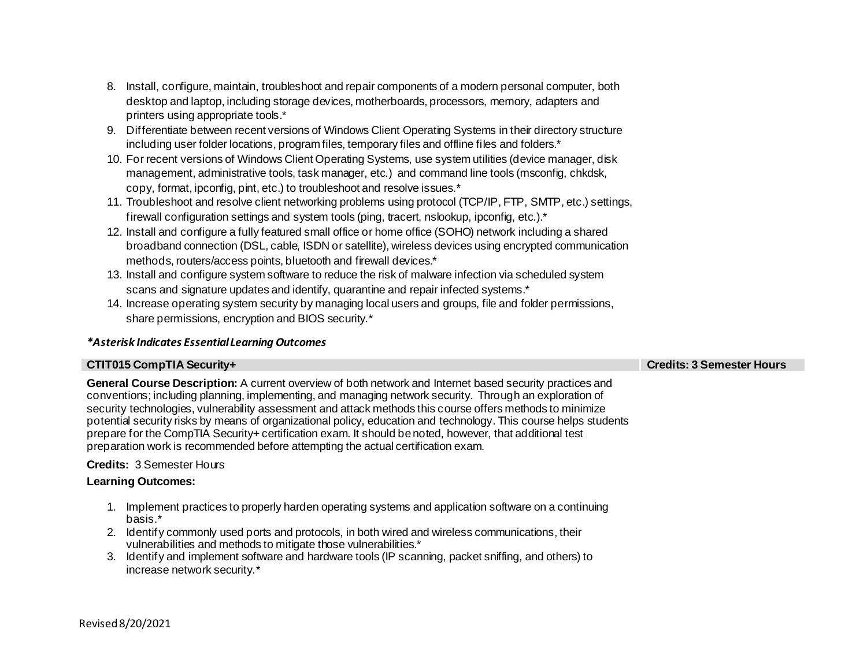- 8. Install, configure, maintain, troubleshoot and repair components of a modern personal computer, both desktop and laptop, including storage devices, motherboards, processors, memory, adapters and printers using appropriate tools.\*
- 9. Differentiate between recent versions of Windows Client Operating Systems in their directory structure including user folder locations, program files, temporary files and offline files and folders.\*
- 10. For recent versions of Windows Client Operating Systems, use system utilities (device manager, disk management, administrative tools, task manager, etc.) and command line tools (msconfig, chkdsk, copy, format, ipconfig, pint, etc.) to troubleshoot and resolve issues.\*
- 11. Troubleshoot and resolve client networking problems using protocol (TCP/IP, FTP, SMTP, etc.) settings, firewall configuration settings and system tools (ping, tracert, nslookup, ipconfig, etc.).\*
- 12. Install and configure a fully featured small office or home office (SOHO) network including a shared broadband connection (DSL, cable, ISDN or satellite), wireless devices using encrypted communication methods, routers/access points, bluetooth and firewall devices.\*
- 13. Install and configure system software to reduce the risk of malware infection via scheduled system scans and signature updates and identify, quarantine and repair infected systems.<sup>\*</sup>
- 14. Increase operating system security by managing local users and groups, file and folder permissions, share permissions, encryption and BIOS security.\*

# **CTIT015 CompTIA Security+ Credits: 3 Semester Hours**

**General Course Description:** A current overview of both network and Internet based security practices and conventions; including planning, implementing, and managing network security. Through an exploration of security technologies, vulnerability assessment and attack methods this course offers methods to minimize potential security risks by means of organizational policy, education and technology. This course helps students prepare for the CompTIA Security+ certification exam. It should be noted, however, that additional test preparation work is recommended before attempting the actual certification exam.

# **Credits:** 3 Semester Hours

- 1. Implement practices to properly harden operating systems and application software on a continuing basis.\*
- 2. Identify commonly used ports and protocols, in both wired and wireless communications, their vulnerabilities and methods to mitigate those vulnerabilities.\*
- 3. Identify and implement software and hardware tools (IP scanning, packet sniffing, and others) to increase network security.\*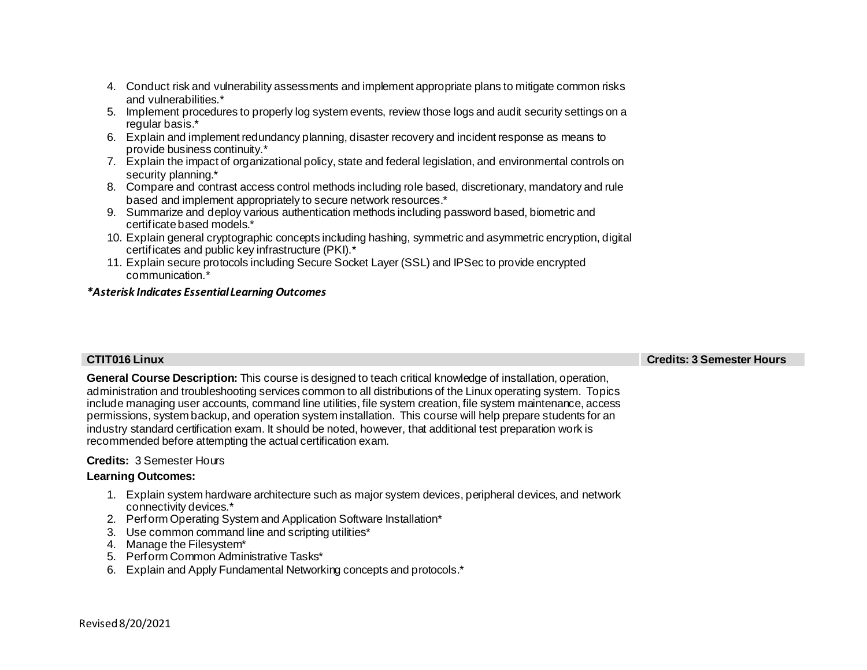- 4. Conduct risk and vulnerability assessments and implement appropriate plans to mitigate common risks and vulnerabilities.\*
- 5. Implement procedures to properly log system events, review those logs and audit security settings on a regular basis.\*
- 6. Explain and implement redundancy planning, disaster recovery and incident response as means to provide business continuity.\*
- 7. Explain the impact of organizational policy, state and federal legislation, and environmental controls on security planning.\*
- 8. Compare and contrast access control methods including role based, discretionary, mandatory and rule based and implement appropriately to secure network resources.\*
- 9. Summarize and deploy various authentication methods including password based, biometric and certificate based models.\*
- 10. Explain general cryptographic concepts including hashing, symmetric and asymmetric encryption, digital certificates and public key infrastructure (PKI).\*
- 11. Explain secure protocols including Secure Socket Layer (SSL) and IPSec to provide encrypted communication.\*

**CTIT016 Linux Credits: 3 Semester Hours**

**General Course Description:** This course is designed to teach critical knowledge of installation, operation, administration and troubleshooting services common to all distributions of the Linux operating system. Topics include managing user accounts, command line utilities, file system creation, file system maintenance, access permissions, system backup, and operation system installation. This course will help prepare students for an industry standard certification exam. It should be noted, however, that additional test preparation work is recommended before attempting the actual certification exam.

# **Credits:** 3 Semester Hours

- 1. Explain system hardware architecture such as major system devices, peripheral devices, and network connectivity devices.\*
- 2. Perform Operating System and Application Software Installation\*
- 3. Use common command line and scripting utilities\*
- 4. Manage the Filesystem\*
- 5. Perform Common Administrative Tasks\*
- 6. Explain and Apply Fundamental Networking concepts and protocols.\*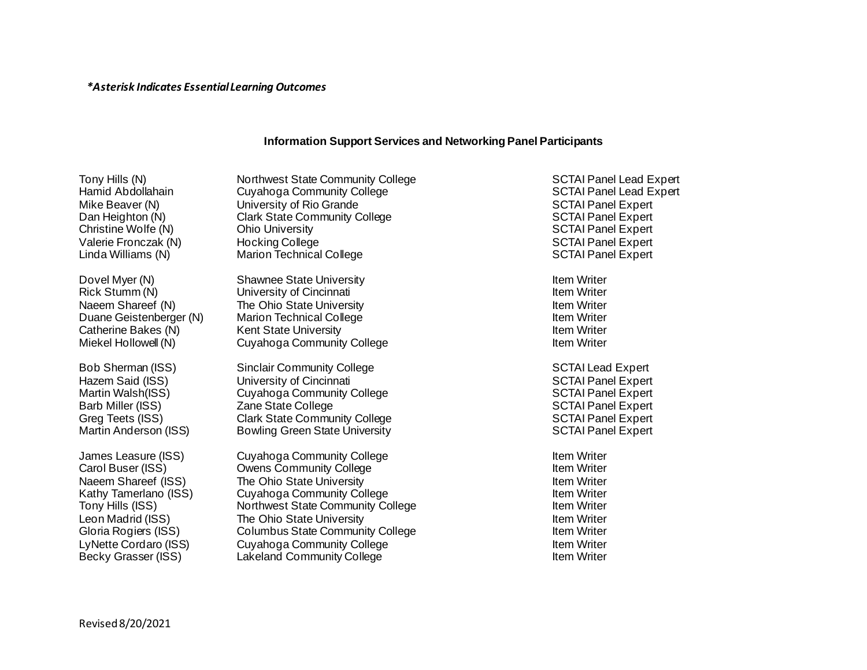# **Information Support Services and Networking Panel Participants**

Tony Hills (N) **Northwest State Community College** SCTAI Panel Lead Expert Hamid Abdollahain Cuyahoga Community College SCTAI Panel Lead Expert Mike Beaver (N) Controllers University of Rio Grande SCTAI Panel Expert SCTAI Panel Expert Dan Heighton (N) Clark State Community College SCTAI Panel Expert Christine Wolfe (N) Christine Wolfe (N) Christine Wolfe (N) Christine Wolfe (N) Christine Wolfe (N) Christine Music Christine Music Christine Music Christine Music Christine Music Christine Music Christine Music Christine Valerie Fronczak (N) Hocking College SCTAI Panel Expert<br>Linda Williams (N) Marion Technical College SCTAI Panel Expert Linda Williams (N) Marion Technical College

Dovel Myer (N) Shawnee State University Item Writer Item Writer Rick Stumm (N) **International University of Cincinnati** International Item Writer Naeem Shareef (N) The Ohio State University Item Writer Item Writer Duane Geistenberger (N) Marion Technical College Item Writer Item Writer Catherine Bakes (N) **Kent State University In the Catherine State Writer** Item Writer Miekel Hollowell (N) Cuyahoga Community College Internal Community College Item Writer

Bob Sherman (ISS) Sinclair Community College SCTAI Lead Expert Hazem Said (ISS) University of Cincinnati SCTAI Panel Expert SCTAI Panel Expert Martin Walsh(ISS) Cuyahoga Community College Community Collect Collect Control SCTAI Panel Expert Barb Miller (ISS) **SCTAI Panel Expert** Zane State College SCTAI Panel Expert SCTAI Panel Expert Greg Teets (ISS) Clark State Community College SCTAI Panel Expert Martin Anderson (ISS) Bowling Green State University SCTAI Panel Expert

James Leasure (ISS) Cuyahoga Community College **Internal Contract Contract Contract Contract Contract Contract Contract Contract Contract Contract Contract Contract Contract Contract Contract Contract Contract Contract Con** Carol Buser (ISS) Community College Item Writer Item Writer Naeem Shareef (ISS) The Ohio State University Item Writer Item Writer Kathy Tamerlano (ISS) Cuyahoga Community College Item Writer Item Writer Tony Hills (ISS) The Solution of Northwest State Community College The Integration of the Writer Leon Madrid (ISS) The Ohio State University Item Writer Item Writer Gloria Rogiers (ISS) Columbus State Community College The Internal Muslim Writer LyNette Cordaro (ISS) Cuyahoga Community College International Control of the Writer Becky Grasser (ISS) Lakeland Community College Item Writer Item Writer